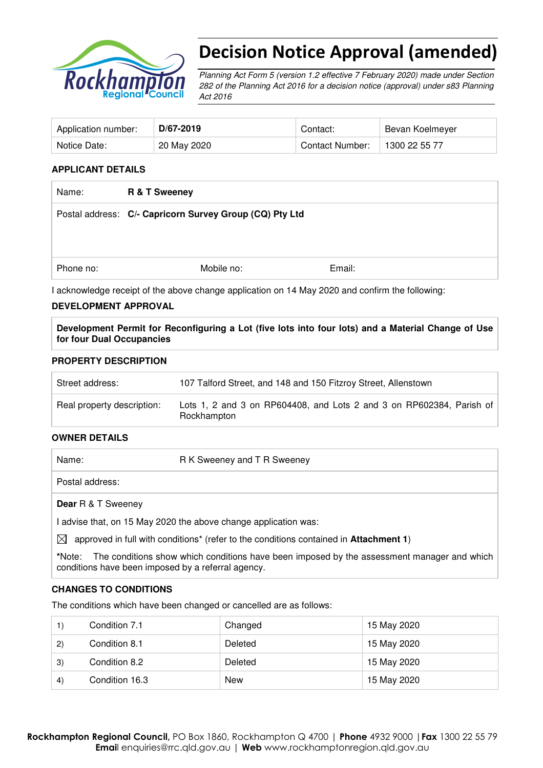

# Decision Notice Approval (amended)

Planning Act Form 5 (version 1.2 effective 7 February 2020) made under Section 282 of the Planning Act 2016 for a decision notice (approval) under s83 Planning Act 2016

| Application number: | D/67-2019   | Contact:               | Bevan Koelmeyer |
|---------------------|-------------|------------------------|-----------------|
| Notice Date:        | 20 May 2020 | <b>Contact Number:</b> | 1300 22 55 77   |

#### **APPLICANT DETAILS**

| R & T Sweeney |                                                         |
|---------------|---------------------------------------------------------|
|               |                                                         |
|               |                                                         |
|               |                                                         |
| Mobile no:    | Email:                                                  |
|               | Postal address: C/- Capricorn Survey Group (CQ) Pty Ltd |

I acknowledge receipt of the above change application on 14 May 2020 and confirm the following:

#### **DEVELOPMENT APPROVAL**

**Development Permit for Reconfiguring a Lot (five lots into four lots) and a Material Change of Use for four Dual Occupancies** 

#### **PROPERTY DESCRIPTION**

| Street address:            | 107 Talford Street, and 148 and 150 Fitzroy Street, Allenstown                      |
|----------------------------|-------------------------------------------------------------------------------------|
| Real property description: | Lots 1, 2 and 3 on RP604408, and Lots 2 and 3 on RP602384, Parish of<br>Rockhampton |

#### **OWNER DETAILS**

| Name:                     | R K Sweeney and T R Sweeney                                     |
|---------------------------|-----------------------------------------------------------------|
| Postal address:           |                                                                 |
| <b>Dear</b> R & T Sweeney |                                                                 |
|                           | I advise that, on 15 May 2020 the above change application was: |

 $\boxtimes$  approved in full with conditions<sup>\*</sup> (refer to the conditions contained in **Attachment 1**)

**\***Note:The conditions show which conditions have been imposed by the assessment manager and which conditions have been imposed by a referral agency.

#### **CHANGES TO CONDITIONS**

The conditions which have been changed or cancelled are as follows:

|                   | Condition 7.1  | Changed    | 15 May 2020 |
|-------------------|----------------|------------|-------------|
| 2)                | Condition 8.1  | Deleted    | 15 May 2020 |
| 3)                | Condition 8.2  | Deleted    | 15 May 2020 |
| $\left( 4\right)$ | Condition 16.3 | <b>New</b> | 15 May 2020 |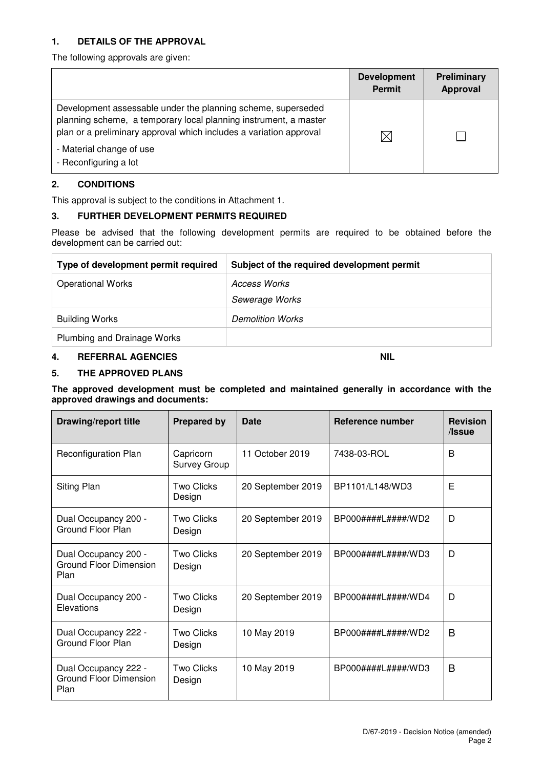#### **1. DETAILS OF THE APPROVAL**

The following approvals are given:

|                                                                                                                                                                                                                                                             | <b>Development</b><br><b>Permit</b> | <b>Preliminary</b><br><b>Approval</b> |
|-------------------------------------------------------------------------------------------------------------------------------------------------------------------------------------------------------------------------------------------------------------|-------------------------------------|---------------------------------------|
| Development assessable under the planning scheme, superseded<br>planning scheme, a temporary local planning instrument, a master<br>plan or a preliminary approval which includes a variation approval<br>- Material change of use<br>- Reconfiguring a lot |                                     |                                       |

## **2. CONDITIONS**

This approval is subject to the conditions in Attachment 1.

#### **3. FURTHER DEVELOPMENT PERMITS REQUIRED**

Please be advised that the following development permits are required to be obtained before the development can be carried out:

| Type of development permit required | Subject of the required development permit |
|-------------------------------------|--------------------------------------------|
| <b>Operational Works</b>            | Access Works                               |
|                                     | Sewerage Works                             |
| <b>Building Works</b>               | <b>Demolition Works</b>                    |
| Plumbing and Drainage Works         |                                            |

## **4. REFERRAL AGENCIES NIL**

#### **5. THE APPROVED PLANS**

**The approved development must be completed and maintained generally in accordance with the approved drawings and documents:** 

| <b>Drawing/report title</b>                                   | <b>Prepared by</b>               | <b>Date</b>       | Reference number                                            | <b>Revision</b><br>/Issue |
|---------------------------------------------------------------|----------------------------------|-------------------|-------------------------------------------------------------|---------------------------|
| <b>Reconfiguration Plan</b>                                   | Capricorn<br><b>Survey Group</b> | 11 October 2019   | 7438-03-ROL                                                 | B                         |
| Siting Plan                                                   | Two Clicks<br>Design             | 20 September 2019 | BP1101/L148/WD3                                             | Е                         |
| Dual Occupancy 200 -<br>Ground Floor Plan                     | <b>Two Clicks</b><br>Design      | 20 September 2019 | $BPOOO\# \# \# \# \mathsf{L} \# \# \# \# \mathsf{M} \Box 2$ | D                         |
| Dual Occupancy 200 -<br><b>Ground Floor Dimension</b><br>Plan | <b>Two Clicks</b><br>Design      | 20 September 2019 | BP000####L####/WD3                                          | D                         |
| Dual Occupancy 200 -<br>Elevations                            | <b>Two Clicks</b><br>Design      | 20 September 2019 | $BPOOO\# \# \# \# \mathsf{L} \# \# \# \# \mathsf{N} D4$     | D                         |
| Dual Occupancy 222 -<br>Ground Floor Plan                     | <b>Two Clicks</b><br>Design      | 10 May 2019       | BP000####L####/WD2                                          | B                         |
| Dual Occupancy 222 -<br><b>Ground Floor Dimension</b><br>Plan | <b>Two Clicks</b><br>Design      | 10 May 2019       | $BPOOO\# \# \# \# \mathsf{L} \# \# \# \# \mathsf{M} \Box$   | B                         |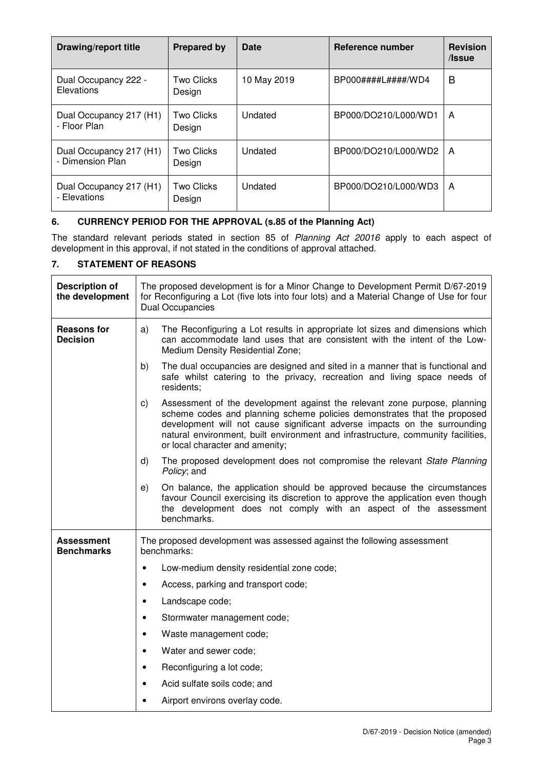| <b>Drawing/report title</b>                 | <b>Prepared by</b>          | <b>Date</b> | Reference number                                        | <b>Revision</b><br>/Issue |
|---------------------------------------------|-----------------------------|-------------|---------------------------------------------------------|---------------------------|
| Dual Occupancy 222 -<br>Elevations          | Two Clicks<br>Design        | 10 May 2019 | $BPOOO\# \# \# \# \mathsf{L} \# \# \# \# \mathsf{N} D4$ | B                         |
| Dual Occupancy 217 (H1)<br>- Floor Plan     | <b>Two Clicks</b><br>Design | Undated     | BP000/DO210/L000/WD1                                    | A                         |
| Dual Occupancy 217 (H1)<br>- Dimension Plan | <b>Two Clicks</b><br>Design | Undated     | BP000/DO210/L000/WD2                                    | A                         |
| Dual Occupancy 217 (H1)<br>- Elevations     | <b>Two Clicks</b><br>Design | Undated     | BP000/DO210/L000/WD3                                    | A                         |

## **6. CURRENCY PERIOD FOR THE APPROVAL (s.85 of the Planning Act)**

The standard relevant periods stated in section 85 of Planning Act 20016 apply to each aspect of development in this approval, if not stated in the conditions of approval attached.

## **7. STATEMENT OF REASONS**

| <b>Description of</b><br>the development | The proposed development is for a Minor Change to Development Permit D/67-2019<br>for Reconfiguring a Lot (five lots into four lots) and a Material Change of Use for four<br><b>Dual Occupancies</b>                                                                                                                                                           |  |  |
|------------------------------------------|-----------------------------------------------------------------------------------------------------------------------------------------------------------------------------------------------------------------------------------------------------------------------------------------------------------------------------------------------------------------|--|--|
| <b>Reasons for</b><br><b>Decision</b>    | The Reconfiguring a Lot results in appropriate lot sizes and dimensions which<br>a)<br>can accommodate land uses that are consistent with the intent of the Low-<br>Medium Density Residential Zone;                                                                                                                                                            |  |  |
|                                          | b)<br>The dual occupancies are designed and sited in a manner that is functional and<br>safe whilst catering to the privacy, recreation and living space needs of<br>residents;                                                                                                                                                                                 |  |  |
|                                          | Assessment of the development against the relevant zone purpose, planning<br>C)<br>scheme codes and planning scheme policies demonstrates that the proposed<br>development will not cause significant adverse impacts on the surrounding<br>natural environment, built environment and infrastructure, community facilities,<br>or local character and amenity; |  |  |
|                                          | The proposed development does not compromise the relevant State Planning<br>d)<br>Policy; and                                                                                                                                                                                                                                                                   |  |  |
|                                          | On balance, the application should be approved because the circumstances<br>e)<br>favour Council exercising its discretion to approve the application even though<br>the development does not comply with an aspect of the assessment<br>benchmarks.                                                                                                            |  |  |
| Assessment<br><b>Benchmarks</b>          | The proposed development was assessed against the following assessment<br>benchmarks:                                                                                                                                                                                                                                                                           |  |  |
|                                          | Low-medium density residential zone code;<br>$\bullet$                                                                                                                                                                                                                                                                                                          |  |  |
|                                          | Access, parking and transport code;<br>$\bullet$                                                                                                                                                                                                                                                                                                                |  |  |
|                                          | Landscape code;<br>$\bullet$                                                                                                                                                                                                                                                                                                                                    |  |  |
|                                          | Stormwater management code;<br>$\bullet$                                                                                                                                                                                                                                                                                                                        |  |  |
|                                          | Waste management code;<br>$\bullet$                                                                                                                                                                                                                                                                                                                             |  |  |
|                                          | Water and sewer code;<br>$\bullet$                                                                                                                                                                                                                                                                                                                              |  |  |
|                                          | Reconfiguring a lot code;<br>$\bullet$                                                                                                                                                                                                                                                                                                                          |  |  |
|                                          | Acid sulfate soils code; and<br>$\bullet$                                                                                                                                                                                                                                                                                                                       |  |  |
|                                          | Airport environs overlay code.                                                                                                                                                                                                                                                                                                                                  |  |  |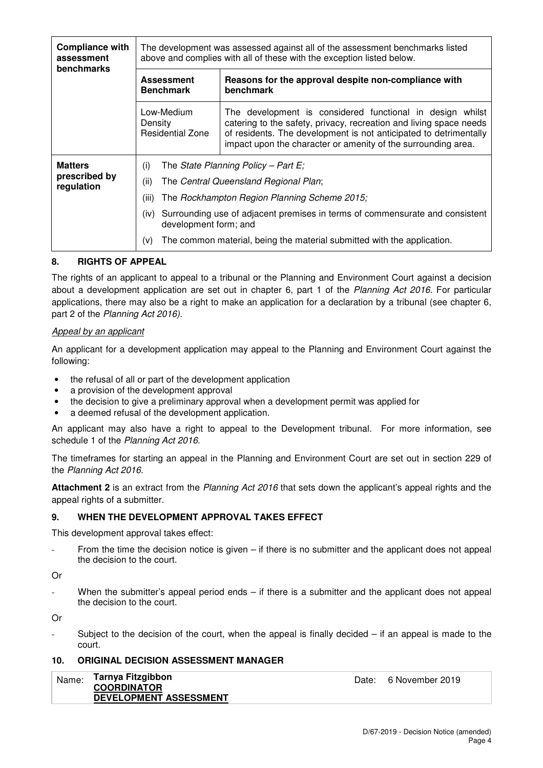| <b>Compliance with</b><br>assessment<br><b>benchmarks</b> | The development was assessed against all of the assessment benchmarks listed<br>above and complies with all of these with the exception listed below.                                                                                                                                                                                                              |                                                                                                                                                                                                                                                                       |  |  |
|-----------------------------------------------------------|--------------------------------------------------------------------------------------------------------------------------------------------------------------------------------------------------------------------------------------------------------------------------------------------------------------------------------------------------------------------|-----------------------------------------------------------------------------------------------------------------------------------------------------------------------------------------------------------------------------------------------------------------------|--|--|
|                                                           | <b>Assessment</b><br><b>Benchmark</b>                                                                                                                                                                                                                                                                                                                              | Reasons for the approval despite non-compliance with<br>benchmark                                                                                                                                                                                                     |  |  |
|                                                           | Low-Medium<br>Density<br><b>Residential Zone</b>                                                                                                                                                                                                                                                                                                                   | The development is considered functional in design whilst<br>catering to the safety, privacy, recreation and living space needs<br>of residents. The development is not anticipated to detrimentally<br>impact upon the character or amenity of the surrounding area. |  |  |
| <b>Matters</b><br>prescribed by<br>regulation             | The State Planning Policy – Part E;<br>(i)<br>(ii)<br>The Central Queensland Regional Plan;<br>(iii)<br>The Rockhampton Region Planning Scheme 2015;<br>Surrounding use of adjacent premises in terms of commensurate and consistent<br>(iv)<br>development form; and<br>$(\mathsf{v})$<br>The common material, being the material submitted with the application. |                                                                                                                                                                                                                                                                       |  |  |

## **8. RIGHTS OF APPEAL**

The rights of an applicant to appeal to a tribunal or the Planning and Environment Court against a decision about a development application are set out in chapter 6, part 1 of the Planning Act 2016. For particular applications, there may also be a right to make an application for a declaration by a tribunal (see chapter 6, part 2 of the Planning Act 2016).

#### Appeal by an applicant

An applicant for a development application may appeal to the Planning and Environment Court against the following:

- the refusal of all or part of the development application
- a provision of the development approval
- the decision to give a preliminary approval when a development permit was applied for
- a deemed refusal of the development application.

An applicant may also have a right to appeal to the Development tribunal. For more information, see schedule 1 of the Planning Act 2016.

The timeframes for starting an appeal in the Planning and Environment Court are set out in section 229 of the Planning Act 2016.

**Attachment 2** is an extract from the Planning Act 2016 that sets down the applicant's appeal rights and the appeal rights of a submitter.

#### **9. WHEN THE DEVELOPMENT APPROVAL TAKES EFFECT**

This development approval takes effect:

From the time the decision notice is given  $-$  if there is no submitter and the applicant does not appeal the decision to the court.

Or

When the submitter's appeal period ends  $-$  if there is a submitter and the applicant does not appeal the decision to the court.

Or

Subject to the decision of the court, when the appeal is finally decided  $-$  if an appeal is made to the court.

#### **10. ORIGINAL DECISION ASSESSMENT MANAGER**

| Name: | Tarnya Fitzgibbon<br><b>COORDINATOR</b> | Date: 6 November 2019 |
|-------|-----------------------------------------|-----------------------|
|       | DEVELOPMENT ASSESSMENT                  |                       |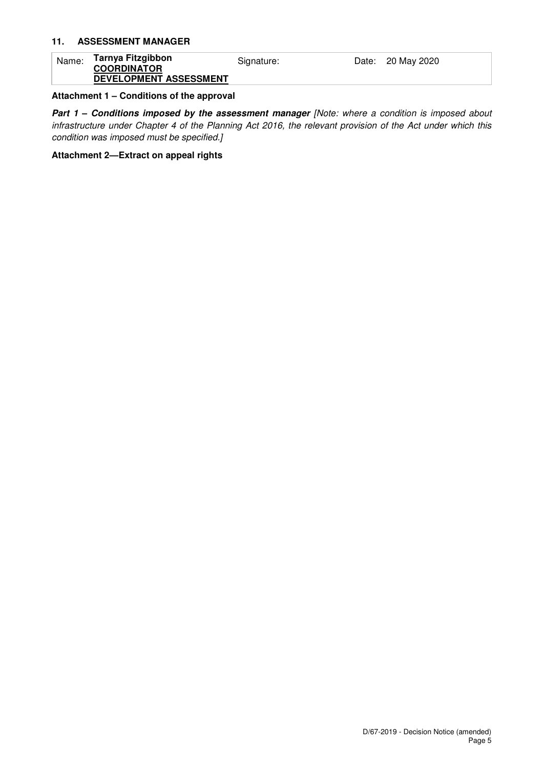#### **11. ASSESSMENT MANAGER**

| Name: | Tarnya Fitzgibbon<br><b>COORDINATOR</b> | Signature: | Date: 20 May 2020 |
|-------|-----------------------------------------|------------|-------------------|
|       | DEVELOPMENT ASSESSMENT                  |            |                   |

## **Attachment 1 – Conditions of the approval**

**Part 1 - Conditions imposed by the assessment manager [Note: where a condition is imposed about** infrastructure under Chapter 4 of the Planning Act 2016, the relevant provision of the Act under which this condition was imposed must be specified.]

#### **Attachment 2—Extract on appeal rights**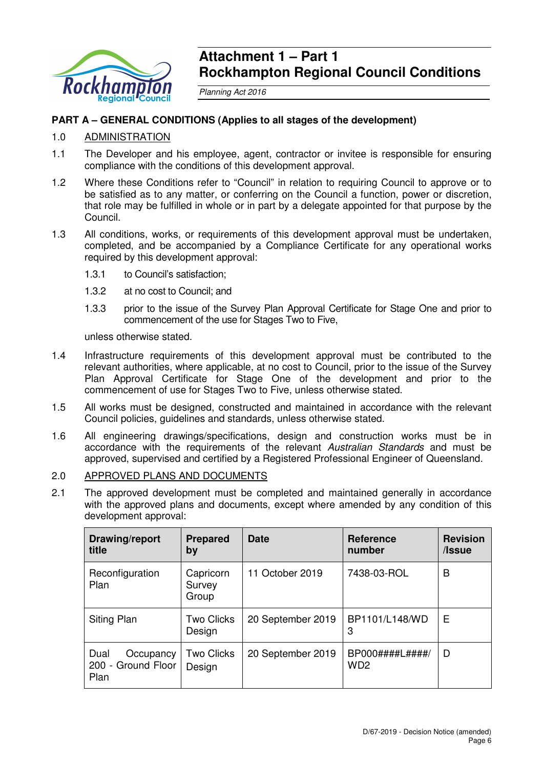

## **Attachment 1 – Part 1 Rockhampton Regional Council Conditions**

Planning Act 2016

## **PART A – GENERAL CONDITIONS (Applies to all stages of the development)**

## 1.0 ADMINISTRATION

- 1.1 The Developer and his employee, agent, contractor or invitee is responsible for ensuring compliance with the conditions of this development approval.
- 1.2 Where these Conditions refer to "Council" in relation to requiring Council to approve or to be satisfied as to any matter, or conferring on the Council a function, power or discretion, that role may be fulfilled in whole or in part by a delegate appointed for that purpose by the Council.
- 1.3 All conditions, works, or requirements of this development approval must be undertaken, completed, and be accompanied by a Compliance Certificate for any operational works required by this development approval:
	- 1.3.1 to Council's satisfaction;
	- 1.3.2 at no cost to Council; and
	- 1.3.3 prior to the issue of the Survey Plan Approval Certificate for Stage One and prior to commencement of the use for Stages Two to Five,

unless otherwise stated.

- 1.4 Infrastructure requirements of this development approval must be contributed to the relevant authorities, where applicable, at no cost to Council, prior to the issue of the Survey Plan Approval Certificate for Stage One of the development and prior to the commencement of use for Stages Two to Five, unless otherwise stated.
- 1.5 All works must be designed, constructed and maintained in accordance with the relevant Council policies, guidelines and standards, unless otherwise stated.
- 1.6 All engineering drawings/specifications, design and construction works must be in accordance with the requirements of the relevant Australian Standards and must be approved, supervised and certified by a Registered Professional Engineer of Queensland.

## 2.0 APPROVED PLANS AND DOCUMENTS

2.1 The approved development must be completed and maintained generally in accordance with the approved plans and documents, except where amended by any condition of this development approval:

| Drawing/report<br>title                         | <b>Prepared</b><br>by        | <b>Date</b>       | <b>Reference</b><br>number         | <b>Revision</b><br>/Issue |
|-------------------------------------------------|------------------------------|-------------------|------------------------------------|---------------------------|
| Reconfiguration<br>Plan                         | Capricorn<br>Survey<br>Group | 11 October 2019   | 7438-03-ROL                        | В                         |
| Siting Plan                                     | <b>Two Clicks</b><br>Design  | 20 September 2019 | BP1101/L148/WD<br>3                | Е                         |
| Dual<br>Occupancy<br>200 - Ground Floor<br>Plan | <b>Two Clicks</b><br>Design  | 20 September 2019 | BP000####L#####<br>WD <sub>2</sub> | D                         |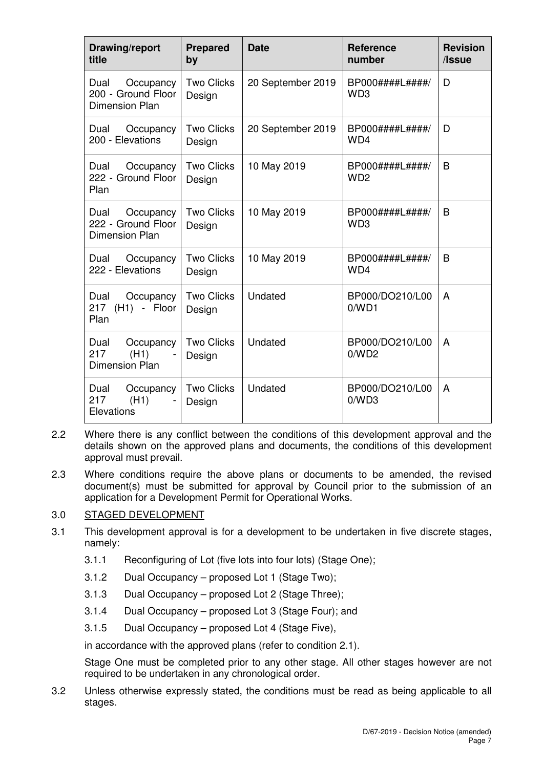| Drawing/report<br>title                                          | <b>Prepared</b><br>by       | <b>Date</b>       | <b>Reference</b><br>number           | <b>Revision</b><br>/Issue |
|------------------------------------------------------------------|-----------------------------|-------------------|--------------------------------------|---------------------------|
| Occupancy<br>Dual<br>200 - Ground Floor<br><b>Dimension Plan</b> | <b>Two Clicks</b><br>Design | 20 September 2019 | BP000####L####/<br>WD <sub>3</sub>   | D                         |
| Occupancy<br>Dual<br>200 - Elevations                            | <b>Two Clicks</b><br>Design | 20 September 2019 | BP000####L#####/<br>WD4              | D                         |
| Dual<br>Occupancy<br>222 - Ground Floor<br>Plan                  | <b>Two Clicks</b><br>Design | 10 May 2019       | BP000####L####/<br>W <sub>D2</sub>   | B                         |
| Occupancy<br>Dual<br>222 - Ground Floor<br><b>Dimension Plan</b> | <b>Two Clicks</b><br>Design | 10 May 2019       | BP000####L#####/<br>W <sub>D</sub> 3 | B                         |
| Dual Occupancy<br>222 - Elevations                               | <b>Two Clicks</b><br>Design | 10 May 2019       | BP000####L####/<br>WD4               | B                         |
| Occupancy<br>Dual<br>217 (H1) - Floor<br>Plan                    | <b>Two Clicks</b><br>Design | Undated           | BP000/DO210/L00<br>0/WD1             | A                         |
| Dual<br>Occupancy<br>217<br>(H1)<br><b>Dimension Plan</b>        | <b>Two Clicks</b><br>Design | Undated           | BP000/DO210/L00<br>0/WD2             | A                         |
| Dual<br>Occupancy<br>217<br>(H1)<br>Elevations                   | <b>Two Clicks</b><br>Design | Undated           | BP000/DO210/L00<br>0/WD3             | A                         |

- 2.2 Where there is any conflict between the conditions of this development approval and the details shown on the approved plans and documents, the conditions of this development approval must prevail.
- 2.3 Where conditions require the above plans or documents to be amended, the revised document(s) must be submitted for approval by Council prior to the submission of an application for a Development Permit for Operational Works.

## 3.0 STAGED DEVELOPMENT

- 3.1 This development approval is for a development to be undertaken in five discrete stages, namely:
	- 3.1.1 Reconfiguring of Lot (five lots into four lots) (Stage One);
	- 3.1.2 Dual Occupancy proposed Lot 1 (Stage Two);
	- 3.1.3 Dual Occupancy proposed Lot 2 (Stage Three);
	- 3.1.4 Dual Occupancy proposed Lot 3 (Stage Four); and
	- 3.1.5 Dual Occupancy proposed Lot 4 (Stage Five),

in accordance with the approved plans (refer to condition 2.1).

Stage One must be completed prior to any other stage. All other stages however are not required to be undertaken in any chronological order.

3.2 Unless otherwise expressly stated, the conditions must be read as being applicable to all stages.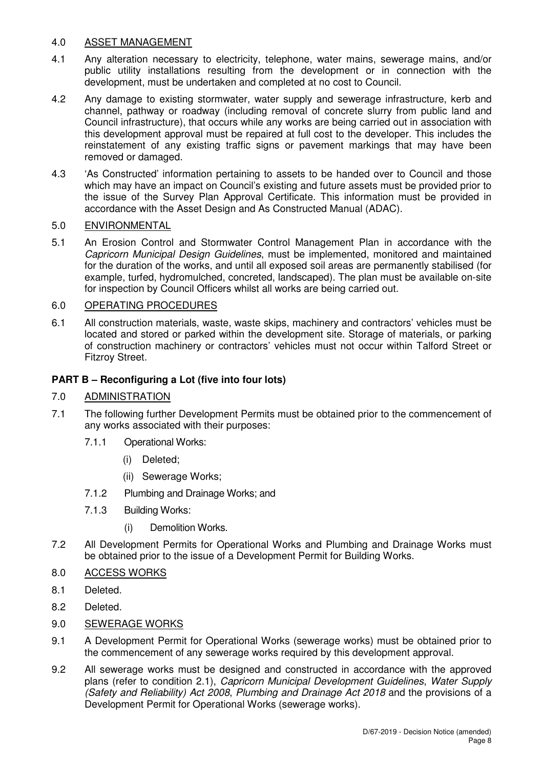## 4.0 ASSET MANAGEMENT

- 4.1 Any alteration necessary to electricity, telephone, water mains, sewerage mains, and/or public utility installations resulting from the development or in connection with the development, must be undertaken and completed at no cost to Council.
- 4.2 Any damage to existing stormwater, water supply and sewerage infrastructure, kerb and channel, pathway or roadway (including removal of concrete slurry from public land and Council infrastructure), that occurs while any works are being carried out in association with this development approval must be repaired at full cost to the developer. This includes the reinstatement of any existing traffic signs or pavement markings that may have been removed or damaged.
- 4.3 'As Constructed' information pertaining to assets to be handed over to Council and those which may have an impact on Council's existing and future assets must be provided prior to the issue of the Survey Plan Approval Certificate. This information must be provided in accordance with the Asset Design and As Constructed Manual (ADAC).

## 5.0 ENVIRONMENTAL

5.1 An Erosion Control and Stormwater Control Management Plan in accordance with the Capricorn Municipal Design Guidelines, must be implemented, monitored and maintained for the duration of the works, and until all exposed soil areas are permanently stabilised (for example, turfed, hydromulched, concreted, landscaped). The plan must be available on-site for inspection by Council Officers whilst all works are being carried out.

## 6.0 OPERATING PROCEDURES

6.1 All construction materials, waste, waste skips, machinery and contractors' vehicles must be located and stored or parked within the development site. Storage of materials, or parking of construction machinery or contractors' vehicles must not occur within Talford Street or Fitzroy Street.

## **PART B – Reconfiguring a Lot (five into four lots)**

## 7.0 ADMINISTRATION

- 7.1 The following further Development Permits must be obtained prior to the commencement of any works associated with their purposes:
	- 7.1.1 Operational Works:
		- (i) Deleted;
		- (ii) Sewerage Works;
	- 7.1.2 Plumbing and Drainage Works; and
	- 7.1.3 Building Works:
		- (i) Demolition Works.
- 7.2 All Development Permits for Operational Works and Plumbing and Drainage Works must be obtained prior to the issue of a Development Permit for Building Works.
- 8.0 ACCESS WORKS
- 8.1 Deleted.
- 8.2 Deleted.
- 9.0 SEWERAGE WORKS
- 9.1 A Development Permit for Operational Works (sewerage works) must be obtained prior to the commencement of any sewerage works required by this development approval.
- 9.2 All sewerage works must be designed and constructed in accordance with the approved plans (refer to condition 2.1), Capricorn Municipal Development Guidelines, Water Supply (Safety and Reliability) Act 2008, Plumbing and Drainage Act 2018 and the provisions of a Development Permit for Operational Works (sewerage works).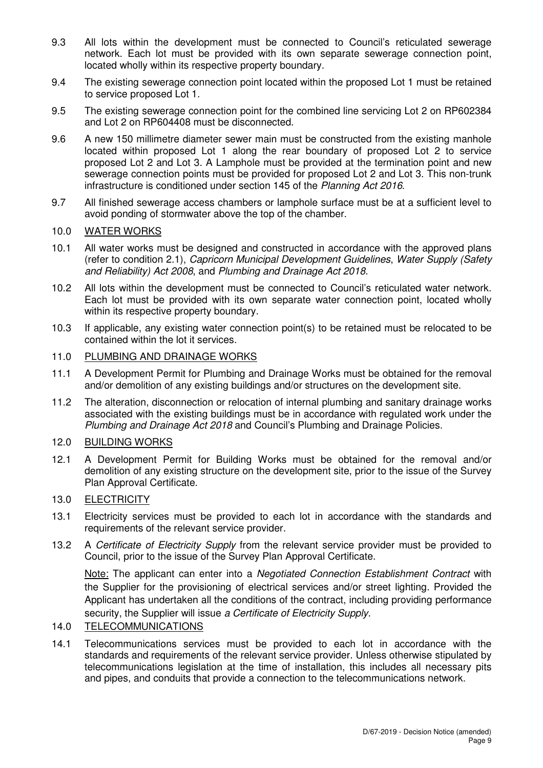- 9.3 All lots within the development must be connected to Council's reticulated sewerage network. Each lot must be provided with its own separate sewerage connection point, located wholly within its respective property boundary.
- 9.4 The existing sewerage connection point located within the proposed Lot 1 must be retained to service proposed Lot 1.
- 9.5 The existing sewerage connection point for the combined line servicing Lot 2 on RP602384 and Lot 2 on RP604408 must be disconnected.
- 9.6 A new 150 millimetre diameter sewer main must be constructed from the existing manhole located within proposed Lot 1 along the rear boundary of proposed Lot 2 to service proposed Lot 2 and Lot 3. A Lamphole must be provided at the termination point and new sewerage connection points must be provided for proposed Lot 2 and Lot 3. This non-trunk infrastructure is conditioned under section 145 of the Planning Act 2016.
- 9.7 All finished sewerage access chambers or lamphole surface must be at a sufficient level to avoid ponding of stormwater above the top of the chamber.

#### 10.0 WATER WORKS

- 10.1 All water works must be designed and constructed in accordance with the approved plans (refer to condition 2.1), Capricorn Municipal Development Guidelines, Water Supply (Safety and Reliability) Act 2008, and Plumbing and Drainage Act 2018.
- 10.2 All lots within the development must be connected to Council's reticulated water network. Each lot must be provided with its own separate water connection point, located wholly within its respective property boundary.
- 10.3 If applicable, any existing water connection point(s) to be retained must be relocated to be contained within the lot it services.

## 11.0 PLUMBING AND DRAINAGE WORKS

- 11.1 A Development Permit for Plumbing and Drainage Works must be obtained for the removal and/or demolition of any existing buildings and/or structures on the development site.
- 11.2 The alteration, disconnection or relocation of internal plumbing and sanitary drainage works associated with the existing buildings must be in accordance with regulated work under the Plumbing and Drainage Act 2018 and Council's Plumbing and Drainage Policies.

#### 12.0 BUILDING WORKS

12.1 A Development Permit for Building Works must be obtained for the removal and/or demolition of any existing structure on the development site, prior to the issue of the Survey Plan Approval Certificate.

## 13.0 ELECTRICITY

- 13.1 Electricity services must be provided to each lot in accordance with the standards and requirements of the relevant service provider.
- 13.2 A Certificate of Electricity Supply from the relevant service provider must be provided to Council, prior to the issue of the Survey Plan Approval Certificate.

Note: The applicant can enter into a Negotiated Connection Establishment Contract with the Supplier for the provisioning of electrical services and/or street lighting. Provided the Applicant has undertaken all the conditions of the contract, including providing performance security, the Supplier will issue a Certificate of Electricity Supply.

## 14.0 TELECOMMUNICATIONS

14.1 Telecommunications services must be provided to each lot in accordance with the standards and requirements of the relevant service provider. Unless otherwise stipulated by telecommunications legislation at the time of installation, this includes all necessary pits and pipes, and conduits that provide a connection to the telecommunications network.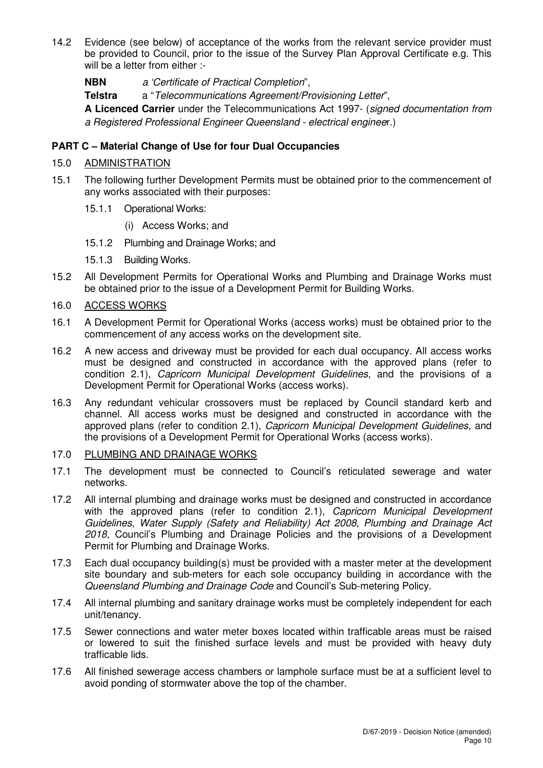14.2 Evidence (see below) of acceptance of the works from the relevant service provider must be provided to Council, prior to the issue of the Survey Plan Approval Certificate e.g. This will be a letter from either :-

**NBN** a 'Certificate of Practical Completion",

**Telstra** a "Telecommunications Agreement/Provisioning Letter",

**A Licenced Carrier** under the Telecommunications Act 1997- (signed documentation from a Registered Professional Engineer Queensland - electrical engineer.)

## **PART C – Material Change of Use for four Dual Occupancies**

## 15.0 ADMINISTRATION

- 15.1 The following further Development Permits must be obtained prior to the commencement of any works associated with their purposes:
	- 15.1.1 Operational Works:
		- (i) Access Works; and
	- 15.1.2 Plumbing and Drainage Works; and
	- 15.1.3 Building Works.
- 15.2 All Development Permits for Operational Works and Plumbing and Drainage Works must be obtained prior to the issue of a Development Permit for Building Works.
- 16.0 ACCESS WORKS
- 16.1 A Development Permit for Operational Works (access works) must be obtained prior to the commencement of any access works on the development site.
- 16.2 A new access and driveway must be provided for each dual occupancy. All access works must be designed and constructed in accordance with the approved plans (refer to condition 2.1), Capricorn Municipal Development Guidelines, and the provisions of a Development Permit for Operational Works (access works).
- 16.3 Any redundant vehicular crossovers must be replaced by Council standard kerb and channel. All access works must be designed and constructed in accordance with the approved plans (refer to condition 2.1), Capricorn Municipal Development Guidelines, and the provisions of a Development Permit for Operational Works (access works).
- 17.0 PLUMBING AND DRAINAGE WORKS
- 17.1 The development must be connected to Council's reticulated sewerage and water networks.
- 17.2 All internal plumbing and drainage works must be designed and constructed in accordance with the approved plans (refer to condition 2.1), Capricorn Municipal Development Guidelines, Water Supply (Safety and Reliability) Act 2008, Plumbing and Drainage Act 2018, Council's Plumbing and Drainage Policies and the provisions of a Development Permit for Plumbing and Drainage Works.
- 17.3 Each dual occupancy building(s) must be provided with a master meter at the development site boundary and sub-meters for each sole occupancy building in accordance with the Queensland Plumbing and Drainage Code and Council's Sub-metering Policy.
- 17.4 All internal plumbing and sanitary drainage works must be completely independent for each unit/tenancy.
- 17.5 Sewer connections and water meter boxes located within trafficable areas must be raised or lowered to suit the finished surface levels and must be provided with heavy duty trafficable lids.
- 17.6 All finished sewerage access chambers or lamphole surface must be at a sufficient level to avoid ponding of stormwater above the top of the chamber.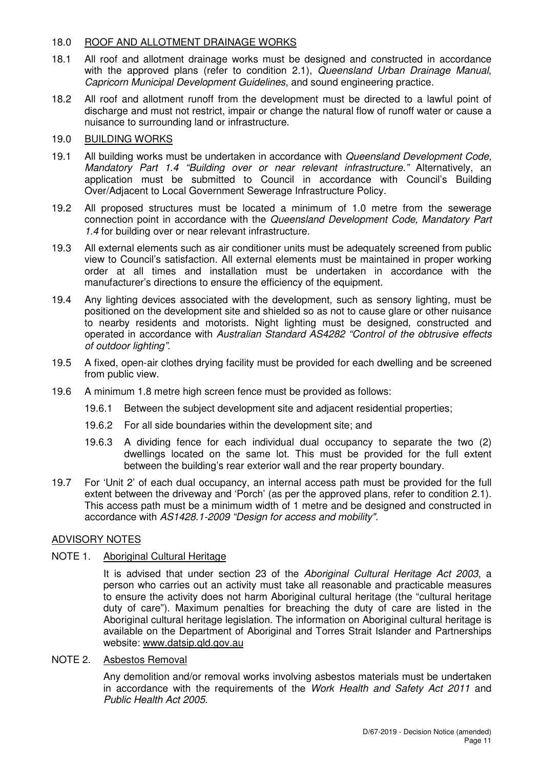## 18.0 ROOF AND ALLOTMENT DRAINAGE WORKS

- 18.1 All roof and allotment drainage works must be designed and constructed in accordance with the approved plans (refer to condition 2.1), Queensland Urban Drainage Manual, Capricorn Municipal Development Guidelines, and sound engineering practice.
- 18.2 All roof and allotment runoff from the development must be directed to a lawful point of discharge and must not restrict, impair or change the natural flow of runoff water or cause a nuisance to surrounding land or infrastructure.

## 19.0 BUILDING WORKS

- 19.1 All building works must be undertaken in accordance with Queensland Development Code, Mandatory Part 1.4 "Building over or near relevant infrastructure." Alternatively, an application must be submitted to Council in accordance with Council's Building Over/Adjacent to Local Government Sewerage Infrastructure Policy.
- 19.2 All proposed structures must be located a minimum of 1.0 metre from the sewerage connection point in accordance with the Queensland Development Code, Mandatory Part 1.4 for building over or near relevant infrastructure.
- 19.3 All external elements such as air conditioner units must be adequately screened from public view to Council's satisfaction. All external elements must be maintained in proper working order at all times and installation must be undertaken in accordance with the manufacturer's directions to ensure the efficiency of the equipment.
- 19.4 Any lighting devices associated with the development, such as sensory lighting, must be positioned on the development site and shielded so as not to cause glare or other nuisance to nearby residents and motorists. Night lighting must be designed, constructed and operated in accordance with Australian Standard AS4282 "Control of the obtrusive effects of outdoor lighting".
- 19.5 A fixed, open-air clothes drying facility must be provided for each dwelling and be screened from public view.
- 19.6 A minimum 1.8 metre high screen fence must be provided as follows:
	- 19.6.1 Between the subject development site and adjacent residential properties;
	- 19.6.2 For all side boundaries within the development site; and
	- 19.6.3 A dividing fence for each individual dual occupancy to separate the two (2) dwellings located on the same lot. This must be provided for the full extent between the building's rear exterior wall and the rear property boundary.
- 19.7 For 'Unit 2' of each dual occupancy, an internal access path must be provided for the full extent between the driveway and 'Porch' (as per the approved plans, refer to condition 2.1). This access path must be a minimum width of 1 metre and be designed and constructed in accordance with AS1428.1-2009 "Design for access and mobility".

## ADVISORY NOTES

## NOTE 1. Aboriginal Cultural Heritage

It is advised that under section 23 of the Aboriginal Cultural Heritage Act 2003, a person who carries out an activity must take all reasonable and practicable measures to ensure the activity does not harm Aboriginal cultural heritage (the "cultural heritage duty of care"). Maximum penalties for breaching the duty of care are listed in the Aboriginal cultural heritage legislation. The information on Aboriginal cultural heritage is available on the Department of Aboriginal and Torres Strait Islander and Partnerships website: www.datsip.qld.gov.au

## NOTE 2. Asbestos Removal

Any demolition and/or removal works involving asbestos materials must be undertaken in accordance with the requirements of the Work Health and Safety Act 2011 and Public Health Act 2005.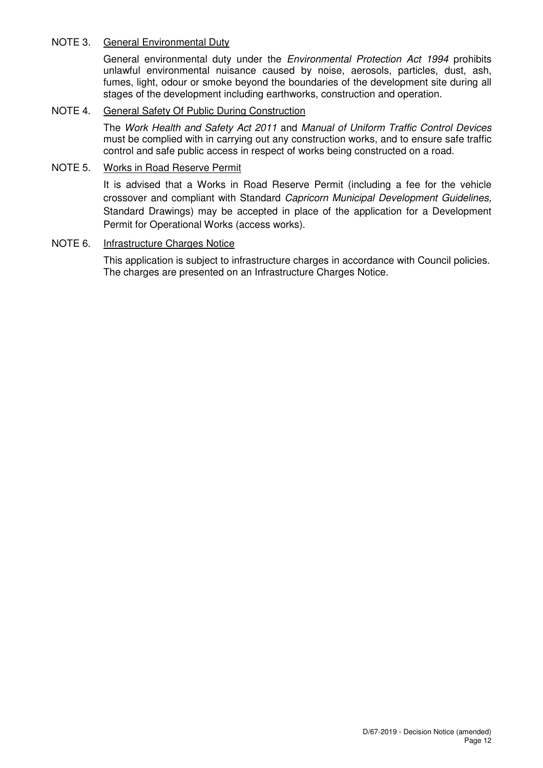## NOTE 3. General Environmental Duty

General environmental duty under the Environmental Protection Act 1994 prohibits unlawful environmental nuisance caused by noise, aerosols, particles, dust, ash, fumes, light, odour or smoke beyond the boundaries of the development site during all stages of the development including earthworks, construction and operation.

#### NOTE 4. General Safety Of Public During Construction

The Work Health and Safety Act 2011 and Manual of Uniform Traffic Control Devices must be complied with in carrying out any construction works, and to ensure safe traffic control and safe public access in respect of works being constructed on a road.

## NOTE 5. Works in Road Reserve Permit

It is advised that a Works in Road Reserve Permit (including a fee for the vehicle crossover and compliant with Standard Capricorn Municipal Development Guidelines, Standard Drawings) may be accepted in place of the application for a Development Permit for Operational Works (access works).

#### NOTE 6. Infrastructure Charges Notice

This application is subject to infrastructure charges in accordance with Council policies. The charges are presented on an Infrastructure Charges Notice.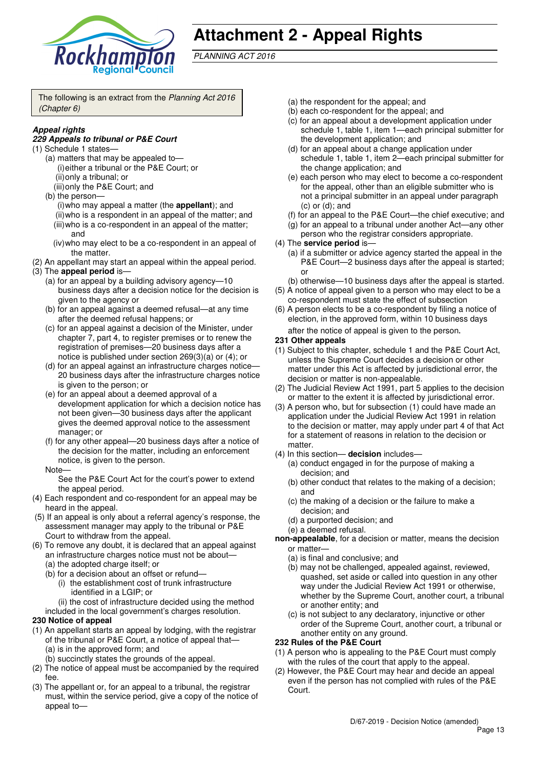

## **Attachment 2 - Appeal Rights**

PLANNING ACT 2016

The following is an extract from the Planning Act 2016 (Chapter 6)

## **Appeal rights**

#### **229 Appeals to tribunal or P&E Court**

- (1) Schedule 1 states—
	- (a) matters that may be appealed to— (i) either a tribunal or the P&E Court; or (ii) only a tribunal; or
		- (iii) only the P&E Court; and
	- (b) the person— (i) who may appeal a matter (the **appellant**); and (ii) who is a respondent in an appeal of the matter; and (iii) who is a co-respondent in an appeal of the matter; and
		- (iv) who may elect to be a co-respondent in an appeal of the matter.
- (2) An appellant may start an appeal within the appeal period.
- (3) The **appeal period** is—
	- (a) for an appeal by a building advisory agency—10 business days after a decision notice for the decision is given to the agency or
	- (b) for an appeal against a deemed refusal—at any time after the deemed refusal happens; or
	- (c) for an appeal against a decision of the Minister, under chapter 7, part 4, to register premises or to renew the registration of premises—20 business days after a notice is published under section 269(3)(a) or (4); or
	- (d) for an appeal against an infrastructure charges notice-20 business days after the infrastructure charges notice is given to the person; or
	- (e) for an appeal about a deemed approval of a development application for which a decision notice has not been given—30 business days after the applicant gives the deemed approval notice to the assessment manager; or
	- (f) for any other appeal—20 business days after a notice of the decision for the matter, including an enforcement notice, is given to the person.
	- **Note**

See the P&E Court Act for the court's power to extend the appeal period.

- (4) Each respondent and co-respondent for an appeal may be heard in the appeal.
- (5) If an appeal is only about a referral agency's response, the assessment manager may apply to the tribunal or P&E Court to withdraw from the appeal.
- (6) To remove any doubt, it is declared that an appeal against an infrastructure charges notice must not be about—
	- (a) the adopted charge itself; or
	- (b) for a decision about an offset or refund—
		- (i) the establishment cost of trunk infrastructure identified in a LGIP; or
	- (ii) the cost of infrastructure decided using the method included in the local government's charges resolution.

#### **230 Notice of appeal**

- (1) An appellant starts an appeal by lodging, with the registrar of the tribunal or P&E Court, a notice of appeal that— (a) is in the approved form; and
	- (b) succinctly states the grounds of the appeal.
- (2) The notice of appeal must be accompanied by the required fee.
- (3) The appellant or, for an appeal to a tribunal, the registrar must, within the service period, give a copy of the notice of appeal to—
- (a) the respondent for the appeal; and
- (b) each co-respondent for the appeal; and
- (c) for an appeal about a development application under schedule 1, table 1, item 1—each principal submitter for the development application; and
- (d) for an appeal about a change application under schedule 1, table 1, item 2—each principal submitter for the change application; and
- (e) each person who may elect to become a co-respondent for the appeal, other than an eligible submitter who is not a principal submitter in an appeal under paragraph (c) or (d); and
- (f) for an appeal to the P&E Court—the chief executive; and
- (g) for an appeal to a tribunal under another Act—any other person who the registrar considers appropriate.
- (4) The **service period** is—
	- (a) if a submitter or advice agency started the appeal in the P&E Court—2 business days after the appeal is started; or
	- (b) otherwise—10 business days after the appeal is started.
- (5) A notice of appeal given to a person who may elect to be a co-respondent must state the effect of subsection
- (6) A person elects to be a co-respondent by filing a notice of election, in the approved form, within 10 business days

after the notice of appeal is given to the person*.*

#### **231 Other appeals**

- (1) Subject to this chapter, schedule 1 and the P&E Court Act, unless the Supreme Court decides a decision or other matter under this Act is affected by jurisdictional error, the decision or matter is non-appealable.
- (2) The Judicial Review Act 1991, part 5 applies to the decision or matter to the extent it is affected by jurisdictional error.
- (3) A person who, but for subsection (1) could have made an application under the Judicial Review Act 1991 in relation to the decision or matter, may apply under part 4 of that Act for a statement of reasons in relation to the decision or matter.
- (4) In this section— **decision** includes—
	- (a) conduct engaged in for the purpose of making a decision; and
	- (b) other conduct that relates to the making of a decision; and
	- (c) the making of a decision or the failure to make a decision; and
	- (d) a purported decision; and
	- (e) a deemed refusal.
- **non-appealable**, for a decision or matter, means the decision or matter—
	- (a) is final and conclusive; and
	- (b) may not be challenged, appealed against, reviewed, quashed, set aside or called into question in any other way under the Judicial Review Act 1991 or otherwise, whether by the Supreme Court, another court, a tribunal or another entity; and
	- (c) is not subject to any declaratory, injunctive or other order of the Supreme Court, another court, a tribunal or another entity on any ground.

#### **232 Rules of the P&E Court**

- (1) A person who is appealing to the P&E Court must comply with the rules of the court that apply to the appeal.
- (2) However, the P&E Court may hear and decide an appeal even if the person has not complied with rules of the P&E Court.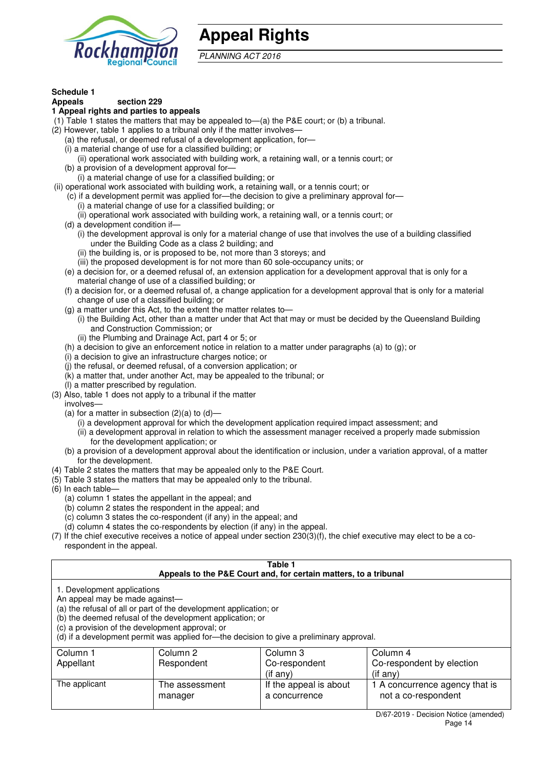

## **Appeal Rights**

PLANNING ACT 2016

#### **Schedule 1**

#### **Appeals section 229**

#### **1 Appeal rights and parties to appeals**

- (1) Table 1 states the matters that may be appealed to—(a) the P&E court; or (b) a tribunal.
- (2) However, table 1 applies to a tribunal only if the matter involves—
	- (a) the refusal, or deemed refusal of a development application, for—
	- (i) a material change of use for a classified building; or
	- (ii) operational work associated with building work, a retaining wall, or a tennis court; or
	- (b) a provision of a development approval for—
	- (i) a material change of use for a classified building; or
- (ii) operational work associated with building work, a retaining wall, or a tennis court; or
	- (c) if a development permit was applied for—the decision to give a preliminary approval for— (i) a material change of use for a classified building; or
		- (ii) operational work associated with building work, a retaining wall, or a tennis court; or
	- (d) a development condition if—
		- (i) the development approval is only for a material change of use that involves the use of a building classified under the Building Code as a class 2 building; and
			- (ii) the building is, or is proposed to be, not more than 3 storeys; and
			- (iii) the proposed development is for not more than 60 sole-occupancy units; or
	- (e) a decision for, or a deemed refusal of, an extension application for a development approval that is only for a material change of use of a classified building; or
	- (f) a decision for, or a deemed refusal of, a change application for a development approval that is only for a material change of use of a classified building; or
	- (g) a matter under this Act, to the extent the matter relates to—
		- (i) the Building Act, other than a matter under that Act that may or must be decided by the Queensland Building and Construction Commission; or
		- (ii) the Plumbing and Drainage Act, part 4 or 5; or
	- (h) a decision to give an enforcement notice in relation to a matter under paragraphs (a) to (g); or
	- (i) a decision to give an infrastructure charges notice; or
	- (j) the refusal, or deemed refusal, of a conversion application; or
	- $(k)$  a matter that, under another Act, may be appealed to the tribunal; or
	- (l) a matter prescribed by regulation.
- (3) Also, table 1 does not apply to a tribunal if the matter involves—
	- (a) for a matter in subsection  $(2)(a)$  to  $(d)$ 
		- (i) a development approval for which the development application required impact assessment; and
		- (ii) a development approval in relation to which the assessment manager received a properly made submission for the development application; or
	- (b) a provision of a development approval about the identification or inclusion, under a variation approval, of a matter for the development.
- (4) Table 2 states the matters that may be appealed only to the P&E Court.
- (5) Table 3 states the matters that may be appealed only to the tribunal.
- (6) In each table—
	- (a) column 1 states the appellant in the appeal; and
	- (b) column 2 states the respondent in the appeal; and
	- (c) column 3 states the co-respondent (if any) in the appeal; and
	- (d) column 4 states the co-respondents by election (if any) in the appeal.
- (7) If the chief executive receives a notice of appeal under section 230(3)(f), the chief executive may elect to be a corespondent in the appeal.

| Table 1<br>Appeals to the P&E Court and, for certain matters, to a tribunal                                                                                                                                                                                                                                                                    |                           |                                         |                                                       |  |  |
|------------------------------------------------------------------------------------------------------------------------------------------------------------------------------------------------------------------------------------------------------------------------------------------------------------------------------------------------|---------------------------|-----------------------------------------|-------------------------------------------------------|--|--|
| 1. Development applications<br>An appeal may be made against-<br>(a) the refusal of all or part of the development application; or<br>(b) the deemed refusal of the development application; or<br>(c) a provision of the development approval; or<br>(d) if a development permit was applied for—the decision to give a preliminary approval. |                           |                                         |                                                       |  |  |
| Column 1                                                                                                                                                                                                                                                                                                                                       | Column 2                  | Column 3                                | Column 4                                              |  |  |
| Appellant                                                                                                                                                                                                                                                                                                                                      | Respondent                | Co-respondent                           | Co-respondent by election                             |  |  |
| $($ if any $)$<br>$(i$ f any)                                                                                                                                                                                                                                                                                                                  |                           |                                         |                                                       |  |  |
| The applicant                                                                                                                                                                                                                                                                                                                                  | The assessment<br>manager | If the appeal is about<br>a concurrence | 1 A concurrence agency that is<br>not a co-respondent |  |  |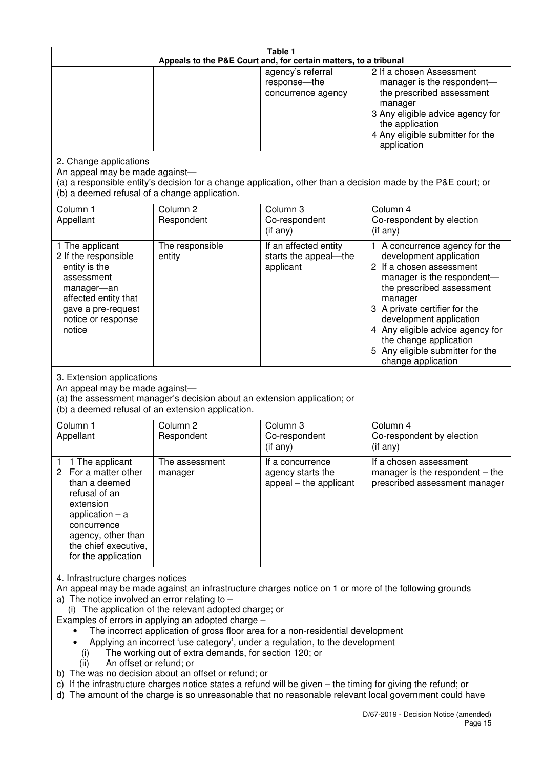| Table 1<br>Appeals to the P&E Court and, for certain matters, to a tribunal                                                                                                                                                                                                                                                                                                                                                                                                                                                                                                                                                                                                                                                                                                                                                                                          |                                                                                                                               |                                                                 |                                                                                                                                                                                                                                                                                                                                                 |  |  |
|----------------------------------------------------------------------------------------------------------------------------------------------------------------------------------------------------------------------------------------------------------------------------------------------------------------------------------------------------------------------------------------------------------------------------------------------------------------------------------------------------------------------------------------------------------------------------------------------------------------------------------------------------------------------------------------------------------------------------------------------------------------------------------------------------------------------------------------------------------------------|-------------------------------------------------------------------------------------------------------------------------------|-----------------------------------------------------------------|-------------------------------------------------------------------------------------------------------------------------------------------------------------------------------------------------------------------------------------------------------------------------------------------------------------------------------------------------|--|--|
|                                                                                                                                                                                                                                                                                                                                                                                                                                                                                                                                                                                                                                                                                                                                                                                                                                                                      |                                                                                                                               | agency's referral<br>response-the<br>concurrence agency         | 2 If a chosen Assessment<br>manager is the respondent-<br>the prescribed assessment<br>manager<br>3 Any eligible advice agency for<br>the application<br>4 Any eligible submitter for the<br>application                                                                                                                                        |  |  |
| 2. Change applications<br>An appeal may be made against-<br>(b) a deemed refusal of a change application.                                                                                                                                                                                                                                                                                                                                                                                                                                                                                                                                                                                                                                                                                                                                                            |                                                                                                                               |                                                                 | (a) a responsible entity's decision for a change application, other than a decision made by the P&E court; or                                                                                                                                                                                                                                   |  |  |
| Column 1<br>Appellant                                                                                                                                                                                                                                                                                                                                                                                                                                                                                                                                                                                                                                                                                                                                                                                                                                                | Column <sub>2</sub><br>Respondent                                                                                             | Column <sub>3</sub><br>Co-respondent<br>(if any)                | Column 4<br>Co-respondent by election<br>(if any)                                                                                                                                                                                                                                                                                               |  |  |
| 1 The applicant<br>2 If the responsible<br>entity is the<br>assessment<br>manager-an<br>affected entity that<br>gave a pre-request<br>notice or response<br>notice                                                                                                                                                                                                                                                                                                                                                                                                                                                                                                                                                                                                                                                                                                   | The responsible<br>entity                                                                                                     | If an affected entity<br>starts the appeal-the<br>applicant     | 1 A concurrence agency for the<br>development application<br>2 If a chosen assessment<br>manager is the respondent-<br>the prescribed assessment<br>manager<br>3 A private certifier for the<br>development application<br>4 Any eligible advice agency for<br>the change application<br>5 Any eligible submitter for the<br>change application |  |  |
| 3. Extension applications<br>An appeal may be made against-                                                                                                                                                                                                                                                                                                                                                                                                                                                                                                                                                                                                                                                                                                                                                                                                          | (a) the assessment manager's decision about an extension application; or<br>(b) a deemed refusal of an extension application. |                                                                 |                                                                                                                                                                                                                                                                                                                                                 |  |  |
| Column 1<br>Appellant                                                                                                                                                                                                                                                                                                                                                                                                                                                                                                                                                                                                                                                                                                                                                                                                                                                | Column <sub>2</sub><br>Respondent                                                                                             | Column 3<br>Co-respondent<br>(if any)                           | Column 4<br>Co-respondent by election<br>(if any)                                                                                                                                                                                                                                                                                               |  |  |
| 1 The applicant<br>1<br>For a matter other<br>2<br>than a deemed<br>refusal of an<br>extension<br>application $-$ a<br>concurrence<br>agency, other than<br>the chief executive,<br>for the application                                                                                                                                                                                                                                                                                                                                                                                                                                                                                                                                                                                                                                                              | The assessment<br>manager                                                                                                     | It a concurrence<br>agency starts the<br>appeal - the applicant | If a chosen assessment<br>manager is the respondent $-$ the<br>prescribed assessment manager                                                                                                                                                                                                                                                    |  |  |
| 4. Infrastructure charges notices<br>An appeal may be made against an infrastructure charges notice on 1 or more of the following grounds<br>a) The notice involved an error relating to $-$<br>(i) The application of the relevant adopted charge; or<br>Examples of errors in applying an adopted charge -<br>The incorrect application of gross floor area for a non-residential development<br>Applying an incorrect 'use category', under a regulation, to the development<br>The working out of extra demands, for section 120; or<br>(i)<br>An offset or refund; or<br>(ii)<br>b) The was no decision about an offset or refund; or<br>c) If the infrastructure charges notice states a refund will be given – the timing for giving the refund; or<br>d) The amount of the charge is so unreasonable that no reasonable relevant local government could have |                                                                                                                               |                                                                 |                                                                                                                                                                                                                                                                                                                                                 |  |  |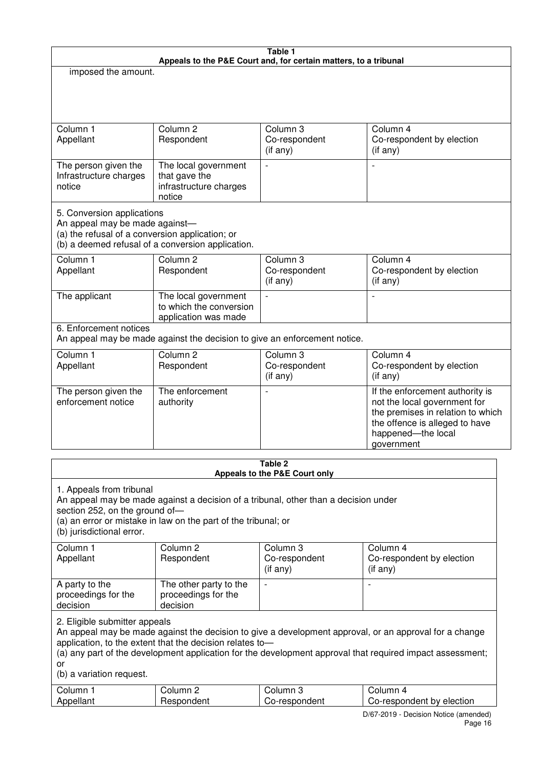| Table 1<br>Appeals to the P&E Court and, for certain matters, to a tribunal                                     |                                                                                                                                                       |                                                  |                                                                                                                                                                                                                     |  |
|-----------------------------------------------------------------------------------------------------------------|-------------------------------------------------------------------------------------------------------------------------------------------------------|--------------------------------------------------|---------------------------------------------------------------------------------------------------------------------------------------------------------------------------------------------------------------------|--|
| imposed the amount.                                                                                             |                                                                                                                                                       |                                                  |                                                                                                                                                                                                                     |  |
|                                                                                                                 |                                                                                                                                                       |                                                  |                                                                                                                                                                                                                     |  |
|                                                                                                                 |                                                                                                                                                       |                                                  |                                                                                                                                                                                                                     |  |
| Column 1<br>Appellant                                                                                           | Column <sub>2</sub><br>Respondent                                                                                                                     | Column 3<br>Co-respondent<br>(if any)            | Column 4<br>Co-respondent by election<br>(if any)                                                                                                                                                                   |  |
| The person given the<br>Infrastructure charges<br>notice                                                        | The local government<br>that gave the<br>infrastructure charges<br>notice                                                                             | $\overline{a}$                                   | L,                                                                                                                                                                                                                  |  |
| 5. Conversion applications<br>An appeal may be made against-<br>(a) the refusal of a conversion application; or | (b) a deemed refusal of a conversion application.                                                                                                     |                                                  |                                                                                                                                                                                                                     |  |
| Column 1<br>Appellant                                                                                           | Column <sub>2</sub><br>Respondent                                                                                                                     | Column <sub>3</sub><br>Co-respondent<br>(if any) | Column 4<br>Co-respondent by election<br>(if any)                                                                                                                                                                   |  |
| The applicant                                                                                                   | The local government<br>to which the conversion<br>application was made                                                                               | $\overline{a}$                                   | L,                                                                                                                                                                                                                  |  |
| 6. Enforcement notices                                                                                          | An appeal may be made against the decision to give an enforcement notice.                                                                             |                                                  |                                                                                                                                                                                                                     |  |
| Column 1<br>Appellant                                                                                           | Column <sub>2</sub><br>Respondent                                                                                                                     | Column 3<br>Co-respondent<br>(if any)            | Column 4<br>Co-respondent by election<br>(if any)                                                                                                                                                                   |  |
| The person given the<br>enforcement notice                                                                      | The enforcement<br>authority                                                                                                                          |                                                  | If the enforcement authority is<br>not the local government for<br>the premises in relation to which<br>the offence is alleged to have<br>happened-the local<br>government                                          |  |
|                                                                                                                 |                                                                                                                                                       | Table 2                                          |                                                                                                                                                                                                                     |  |
|                                                                                                                 |                                                                                                                                                       | Appeals to the P&E Court only                    |                                                                                                                                                                                                                     |  |
| 1. Appeals from tribunal<br>section 252, on the ground of-<br>(b) jurisdictional error.                         | An appeal may be made against a decision of a tribunal, other than a decision under<br>(a) an error or mistake in law on the part of the tribunal; or |                                                  |                                                                                                                                                                                                                     |  |
| Column 1<br>Appellant                                                                                           | Column <sub>2</sub><br>Respondent                                                                                                                     | Column 3<br>Co-respondent<br>$($ if any $)$      | Column 4<br>Co-respondent by election<br>$($ if any $)$                                                                                                                                                             |  |
| A party to the<br>proceedings for the<br>decision                                                               | The other party to the<br>proceedings for the<br>decision                                                                                             | $\overline{\phantom{a}}$                         |                                                                                                                                                                                                                     |  |
| 2. Eligible submitter appeals<br>or<br>(b) a variation request.                                                 | application, to the extent that the decision relates to-                                                                                              |                                                  | An appeal may be made against the decision to give a development approval, or an approval for a change<br>(a) any part of the development application for the development approval that required impact assessment; |  |
| Column 1<br>Appellant                                                                                           | Column 2<br>Respondent                                                                                                                                | Column 3<br>Co-respondent                        | Column 4<br>Co-respondent by election                                                                                                                                                                               |  |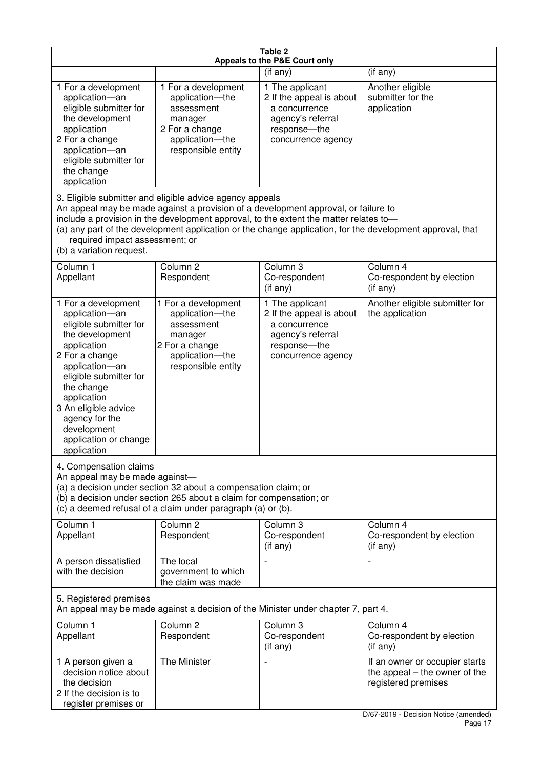| Table 2<br>Appeals to the P&E Court only                                                                                                                                                                                                                                                      |                                                                                                                                                                                                                                         |                                                                                                                          |                                                                                                                                   |  |  |
|-----------------------------------------------------------------------------------------------------------------------------------------------------------------------------------------------------------------------------------------------------------------------------------------------|-----------------------------------------------------------------------------------------------------------------------------------------------------------------------------------------------------------------------------------------|--------------------------------------------------------------------------------------------------------------------------|-----------------------------------------------------------------------------------------------------------------------------------|--|--|
|                                                                                                                                                                                                                                                                                               |                                                                                                                                                                                                                                         | (if any)                                                                                                                 | (if any)                                                                                                                          |  |  |
| 1 For a development<br>application-an<br>eligible submitter for<br>the development<br>application<br>2 For a change<br>application-an<br>eligible submitter for<br>the change<br>application                                                                                                  | 1 For a development<br>application-the<br>assessment<br>manager<br>2 For a change<br>application-the<br>responsible entity                                                                                                              | 1 The applicant<br>2 If the appeal is about<br>a concurrence<br>agency's referral<br>response-the<br>concurrence agency  | Another eligible<br>submitter for the<br>application                                                                              |  |  |
| required impact assessment; or<br>(b) a variation request.                                                                                                                                                                                                                                    | 3. Eligible submitter and eligible advice agency appeals<br>An appeal may be made against a provision of a development approval, or failure to<br>include a provision in the development approval, to the extent the matter relates to- |                                                                                                                          | (a) any part of the development application or the change application, for the development approval, that                         |  |  |
| Column 1<br>Appellant                                                                                                                                                                                                                                                                         | Column <sub>2</sub><br>Respondent                                                                                                                                                                                                       | Column 3<br>Co-respondent<br>(if any)                                                                                    | Column 4<br>Co-respondent by election<br>(if any)                                                                                 |  |  |
| 1 For a development<br>application-an<br>eligible submitter for<br>the development<br>application<br>2 For a change<br>application-an<br>eligible submitter for<br>the change<br>application<br>3 An eligible advice<br>agency for the<br>development<br>application or change<br>application | 1 For a development<br>application-the<br>assessment<br>manager<br>2 For a change<br>application-the<br>responsible entity                                                                                                              | 1 The applicant<br>2 If the appeal is about<br>a concurrence<br>agency's referral<br>response--the<br>concurrence agency | Another eligible submitter for<br>the application                                                                                 |  |  |
| 4. Compensation claims<br>An appeal may be made against-<br>(a) a decision under section 32 about a compensation claim; or<br>(b) a decision under section 265 about a claim for compensation; or<br>(c) a deemed refusal of a claim under paragraph (a) or (b).                              |                                                                                                                                                                                                                                         |                                                                                                                          |                                                                                                                                   |  |  |
| Column 1<br>Appellant                                                                                                                                                                                                                                                                         | Column <sub>2</sub><br>Respondent                                                                                                                                                                                                       | Column 3<br>Co-respondent<br>(if any)                                                                                    | Column 4<br>Co-respondent by election<br>(if any)                                                                                 |  |  |
| A person dissatisfied<br>with the decision                                                                                                                                                                                                                                                    | The local<br>government to which<br>the claim was made                                                                                                                                                                                  |                                                                                                                          |                                                                                                                                   |  |  |
| 5. Registered premises<br>An appeal may be made against a decision of the Minister under chapter 7, part 4.                                                                                                                                                                                   |                                                                                                                                                                                                                                         |                                                                                                                          |                                                                                                                                   |  |  |
| Column 1<br>Appellant                                                                                                                                                                                                                                                                         | Column <sub>2</sub><br>Respondent                                                                                                                                                                                                       | Column <sub>3</sub><br>Co-respondent<br>(if any)                                                                         | Column 4<br>Co-respondent by election<br>(if any)                                                                                 |  |  |
| 1 A person given a<br>decision notice about<br>the decision<br>2 If the decision is to<br>register premises or                                                                                                                                                                                | The Minister                                                                                                                                                                                                                            |                                                                                                                          | If an owner or occupier starts<br>the appeal $-$ the owner of the<br>registered premises<br>D/67-2019 - Decision Notice (amended) |  |  |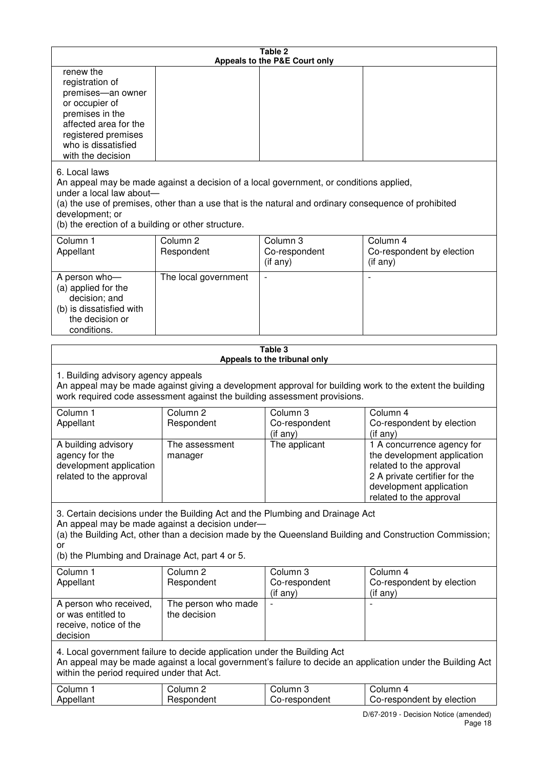| Table 2<br>Appeals to the P&E Court only                                                                                                                                                                                                                                                              |                                                                                                                                                                                                                                                                                  |                                                                  |                                                                                                                                                                             |  |  |  |
|-------------------------------------------------------------------------------------------------------------------------------------------------------------------------------------------------------------------------------------------------------------------------------------------------------|----------------------------------------------------------------------------------------------------------------------------------------------------------------------------------------------------------------------------------------------------------------------------------|------------------------------------------------------------------|-----------------------------------------------------------------------------------------------------------------------------------------------------------------------------|--|--|--|
| renew the<br>registration of<br>premises-an owner<br>or occupier of<br>premises in the<br>affected area for the<br>registered premises<br>who is dissatisfied<br>with the decision                                                                                                                    |                                                                                                                                                                                                                                                                                  |                                                                  |                                                                                                                                                                             |  |  |  |
| 6. Local laws<br>development; or                                                                                                                                                                                                                                                                      | An appeal may be made against a decision of a local government, or conditions applied,<br>under a local law about-<br>(a) the use of premises, other than a use that is the natural and ordinary consequence of prohibited<br>(b) the erection of a building or other structure. |                                                                  |                                                                                                                                                                             |  |  |  |
| Column 1<br>Appellant                                                                                                                                                                                                                                                                                 | Column <sub>2</sub><br>Respondent                                                                                                                                                                                                                                                | Column 3<br>Co-respondent<br>(if any)                            | Column 4<br>Co-respondent by election<br>(i f any)                                                                                                                          |  |  |  |
| A person who-<br>(a) applied for the<br>decision; and<br>(b) is dissatisfied with<br>the decision or<br>conditions.                                                                                                                                                                                   | The local government                                                                                                                                                                                                                                                             |                                                                  |                                                                                                                                                                             |  |  |  |
|                                                                                                                                                                                                                                                                                                       |                                                                                                                                                                                                                                                                                  | Table 3                                                          |                                                                                                                                                                             |  |  |  |
| Appeals to the tribunal only<br>1. Building advisory agency appeals<br>An appeal may be made against giving a development approval for building work to the extent the building<br>work required code assessment against the building assessment provisions.                                          |                                                                                                                                                                                                                                                                                  |                                                                  |                                                                                                                                                                             |  |  |  |
| Column 1<br>Appellant                                                                                                                                                                                                                                                                                 | Column <sub>2</sub><br>Respondent                                                                                                                                                                                                                                                | Column 3<br>Co-respondent<br>(if any)                            | Column 4<br>Co-respondent by election<br>(if any)                                                                                                                           |  |  |  |
| A building advisory<br>agency for the<br>development application<br>related to the approval                                                                                                                                                                                                           | The assessment<br>manager                                                                                                                                                                                                                                                        | The applicant                                                    | 1 A concurrence agency for<br>the development application<br>related to the approval<br>2 A private certifier for the<br>development application<br>related to the approval |  |  |  |
| 3. Certain decisions under the Building Act and the Plumbing and Drainage Act<br>An appeal may be made against a decision under-<br>(a) the Building Act, other than a decision made by the Queensland Building and Construction Commission;<br>or<br>(b) the Plumbing and Drainage Act, part 4 or 5. |                                                                                                                                                                                                                                                                                  |                                                                  |                                                                                                                                                                             |  |  |  |
| Column 1<br>Appellant                                                                                                                                                                                                                                                                                 | Column <sub>2</sub><br>Respondent                                                                                                                                                                                                                                                | Column 3<br>Co-respondent<br>(if any)                            | Column 4<br>Co-respondent by election<br>(if any)                                                                                                                           |  |  |  |
| A person who received,<br>or was entitled to<br>receive, notice of the<br>decision                                                                                                                                                                                                                    | The person who made<br>the decision                                                                                                                                                                                                                                              |                                                                  |                                                                                                                                                                             |  |  |  |
| 4. Local government failure to decide application under the Building Act<br>An appeal may be made against a local government's failure to decide an application under the Building Act<br>within the period required under that Act.                                                                  |                                                                                                                                                                                                                                                                                  |                                                                  |                                                                                                                                                                             |  |  |  |
| Column 1<br>Appellant                                                                                                                                                                                                                                                                                 | Column <sub>2</sub><br>Respondent                                                                                                                                                                                                                                                | Column 3<br>Co-respondent<br>DIRZ 2010 Decision Nation (amondod) | Column 4<br>Co-respondent by election                                                                                                                                       |  |  |  |